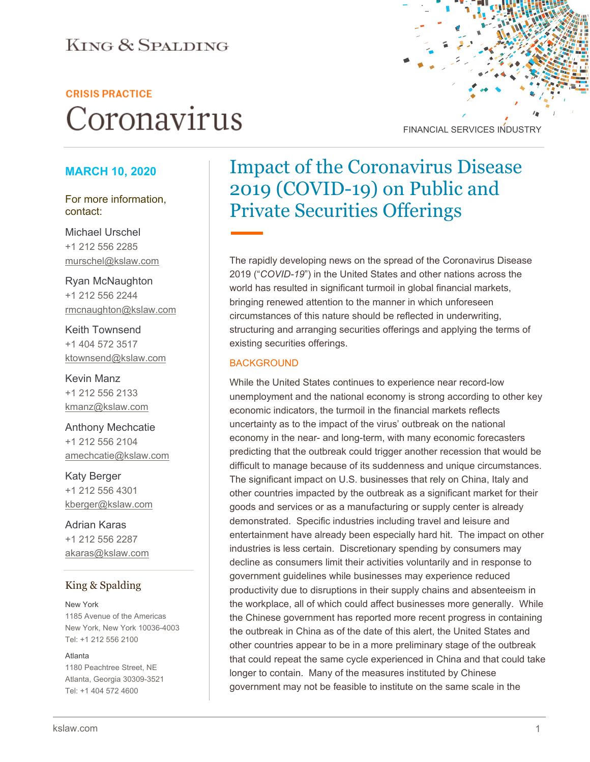### **KING & SPALDING**

#### **CRISIS PRACTICE**

# Coronavirus



#### **MARCH 10, 2020**

For more information, contact:

Michael Urschel +1 212 556 2285 murschel@kslaw.com

Ryan McNaughton +1 212 556 2244 rmcnaughton@kslaw.com

Keith Townsend +1 404 572 3517 [ktownsend@kslaw.com](mailto:ktownsend@kslaw.com)

Kevin Manz +1 212 556 2133 kmanz@kslaw.com

Anthony Mechcatie +1 212 556 2104 amechcatie@kslaw.com

Katy Berger +1 212 556 4301 [kberger@kslaw.com](mailto:kberger@kslaw.com)

Adrian Karas +1 212 556 2287 akaras@kslaw.com

#### King & Spalding

New York 1185 Avenue of the Americas New York, New York 10036-4003 Tel: +1 212 556 2100

#### Atlanta

1180 Peachtree Street, NE Atlanta, Georgia 30309-3521 Tel: +1 404 572 4600

## Impact of the Coronavirus Disease 2019 (COVID-19) on Public and Private Securities Offerings

The rapidly developing news on the spread of the Coronavirus Disease 2019 ("*COVID-19*") in the United States and other nations across the world has resulted in significant turmoil in global financial markets, bringing renewed attention to the manner in which unforeseen circumstances of this nature should be reflected in underwriting, structuring and arranging securities offerings and applying the terms of existing securities offerings.

#### **BACKGROUND**

While the United States continues to experience near record-low unemployment and the national economy is strong according to other key economic indicators, the turmoil in the financial markets reflects uncertainty as to the impact of the virus' outbreak on the national economy in the near- and long-term, with many economic forecasters predicting that the outbreak could trigger another recession that would be difficult to manage because of its suddenness and unique circumstances. The significant impact on U.S. businesses that rely on China, Italy and other countries impacted by the outbreak as a significant market for their goods and services or as a manufacturing or supply center is already demonstrated. Specific industries including travel and leisure and entertainment have already been especially hard hit. The impact on other industries is less certain. Discretionary spending by consumers may decline as consumers limit their activities voluntarily and in response to government guidelines while businesses may experience reduced productivity due to disruptions in their supply chains and absenteeism in the workplace, all of which could affect businesses more generally. While the Chinese government has reported more recent progress in containing the outbreak in China as of the date of this alert, the United States and other countries appear to be in a more preliminary stage of the outbreak that could repeat the same cycle experienced in China and that could take longer to contain. Many of the measures instituted by Chinese government may not be feasible to institute on the same scale in the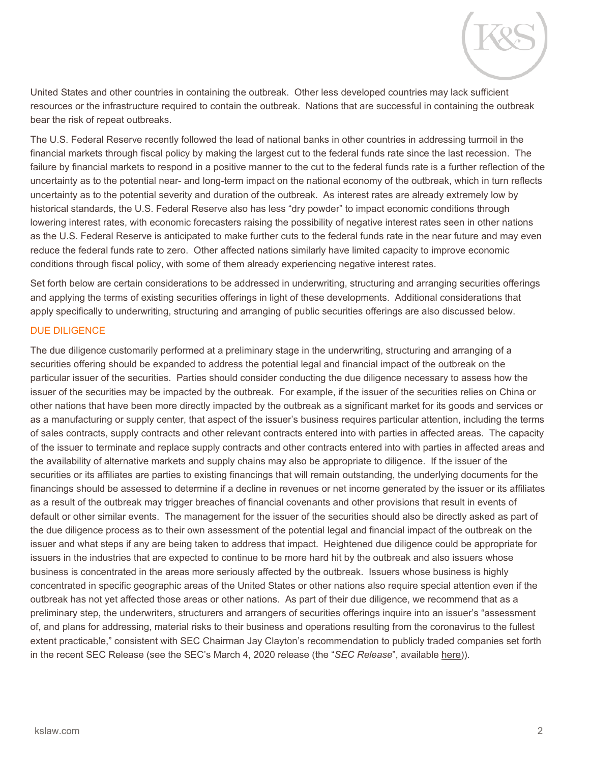

United States and other countries in containing the outbreak. Other less developed countries may lack sufficient resources or the infrastructure required to contain the outbreak. Nations that are successful in containing the outbreak bear the risk of repeat outbreaks.

The U.S. Federal Reserve recently followed the lead of national banks in other countries in addressing turmoil in the financial markets through fiscal policy by making the largest cut to the federal funds rate since the last recession. The failure by financial markets to respond in a positive manner to the cut to the federal funds rate is a further reflection of the uncertainty as to the potential near- and long-term impact on the national economy of the outbreak, which in turn reflects uncertainty as to the potential severity and duration of the outbreak. As interest rates are already extremely low by historical standards, the U.S. Federal Reserve also has less "dry powder" to impact economic conditions through lowering interest rates, with economic forecasters raising the possibility of negative interest rates seen in other nations as the U.S. Federal Reserve is anticipated to make further cuts to the federal funds rate in the near future and may even reduce the federal funds rate to zero. Other affected nations similarly have limited capacity to improve economic conditions through fiscal policy, with some of them already experiencing negative interest rates.

Set forth below are certain considerations to be addressed in underwriting, structuring and arranging securities offerings and applying the terms of existing securities offerings in light of these developments. Additional considerations that apply specifically to underwriting, structuring and arranging of public securities offerings are also discussed below.

#### DUE DILIGENCE

The due diligence customarily performed at a preliminary stage in the underwriting, structuring and arranging of a securities offering should be expanded to address the potential legal and financial impact of the outbreak on the particular issuer of the securities. Parties should consider conducting the due diligence necessary to assess how the issuer of the securities may be impacted by the outbreak. For example, if the issuer of the securities relies on China or other nations that have been more directly impacted by the outbreak as a significant market for its goods and services or as a manufacturing or supply center, that aspect of the issuer's business requires particular attention, including the terms of sales contracts, supply contracts and other relevant contracts entered into with parties in affected areas. The capacity of the issuer to terminate and replace supply contracts and other contracts entered into with parties in affected areas and the availability of alternative markets and supply chains may also be appropriate to diligence. If the issuer of the securities or its affiliates are parties to existing financings that will remain outstanding, the underlying documents for the financings should be assessed to determine if a decline in revenues or net income generated by the issuer or its affiliates as a result of the outbreak may trigger breaches of financial covenants and other provisions that result in events of default or other similar events. The management for the issuer of the securities should also be directly asked as part of the due diligence process as to their own assessment of the potential legal and financial impact of the outbreak on the issuer and what steps if any are being taken to address that impact. Heightened due diligence could be appropriate for issuers in the industries that are expected to continue to be more hard hit by the outbreak and also issuers whose business is concentrated in the areas more seriously affected by the outbreak. Issuers whose business is highly concentrated in specific geographic areas of the United States or other nations also require special attention even if the outbreak has not yet affected those areas or other nations. As part of their due diligence, we recommend that as a preliminary step, the underwriters, structurers and arrangers of securities offerings inquire into an issuer's "assessment of, and plans for addressing, material risks to their business and operations resulting from the coronavirus to the fullest extent practicable," consistent with SEC Chairman Jay Clayton's recommendation to publicly traded companies set forth in the recent SEC Release (see the SEC's March 4, 2020 release (the "*SEC Release*", available [here\)](https://www.sec.gov/news/press-release/2020-53)).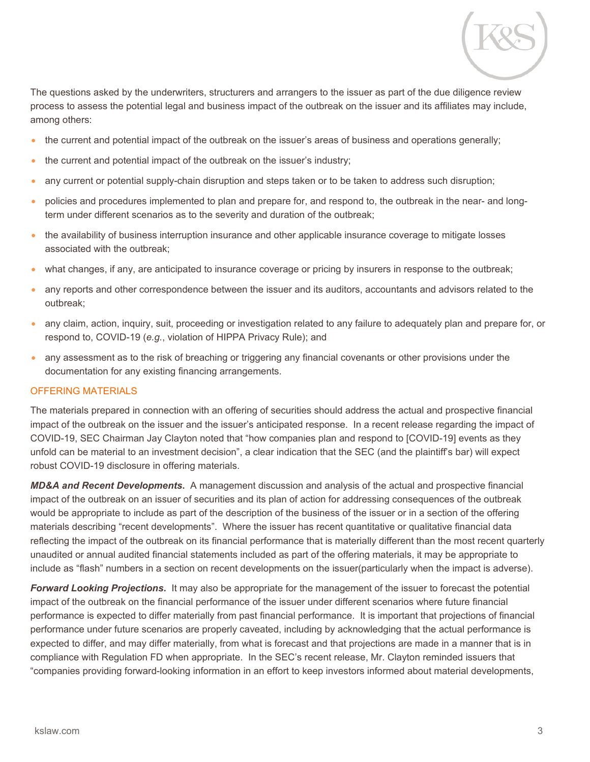

The questions asked by the underwriters, structurers and arrangers to the issuer as part of the due diligence review process to assess the potential legal and business impact of the outbreak on the issuer and its affiliates may include, among others:

- the current and potential impact of the outbreak on the issuer's areas of business and operations generally;
- the current and potential impact of the outbreak on the issuer's industry;
- any current or potential supply-chain disruption and steps taken or to be taken to address such disruption;
- policies and procedures implemented to plan and prepare for, and respond to, the outbreak in the near- and longterm under different scenarios as to the severity and duration of the outbreak;
- the availability of business interruption insurance and other applicable insurance coverage to mitigate losses associated with the outbreak;
- what changes, if any, are anticipated to insurance coverage or pricing by insurers in response to the outbreak;
- any reports and other correspondence between the issuer and its auditors, accountants and advisors related to the outbreak;
- any claim, action, inquiry, suit, proceeding or investigation related to any failure to adequately plan and prepare for, or respond to, COVID-19 (*e.g.*, violation of HIPPA Privacy Rule); and
- any assessment as to the risk of breaching or triggering any financial covenants or other provisions under the documentation for any existing financing arrangements.

#### OFFERING MATERIALS

The materials prepared in connection with an offering of securities should address the actual and prospective financial impact of the outbreak on the issuer and the issuer's anticipated response. In a recent release regarding the impact of COVID-19, SEC Chairman Jay Clayton noted that "how companies plan and respond to [COVID-19] events as they unfold can be material to an investment decision", a clear indication that the SEC (and the plaintiff's bar) will expect robust COVID-19 disclosure in offering materials.

*MD&A and Recent Developments***.** A management discussion and analysis of the actual and prospective financial impact of the outbreak on an issuer of securities and its plan of action for addressing consequences of the outbreak would be appropriate to include as part of the description of the business of the issuer or in a section of the offering materials describing "recent developments". Where the issuer has recent quantitative or qualitative financial data reflecting the impact of the outbreak on its financial performance that is materially different than the most recent quarterly unaudited or annual audited financial statements included as part of the offering materials, it may be appropriate to include as "flash" numbers in a section on recent developments on the issuer(particularly when the impact is adverse).

*Forward Looking Projections***.** It may also be appropriate for the management of the issuer to forecast the potential impact of the outbreak on the financial performance of the issuer under different scenarios where future financial performance is expected to differ materially from past financial performance. It is important that projections of financial performance under future scenarios are properly caveated, including by acknowledging that the actual performance is expected to differ, and may differ materially, from what is forecast and that projections are made in a manner that is in compliance with Regulation FD when appropriate. In the SEC's recent release, Mr. Clayton reminded issuers that "companies providing forward-looking information in an effort to keep investors informed about material developments,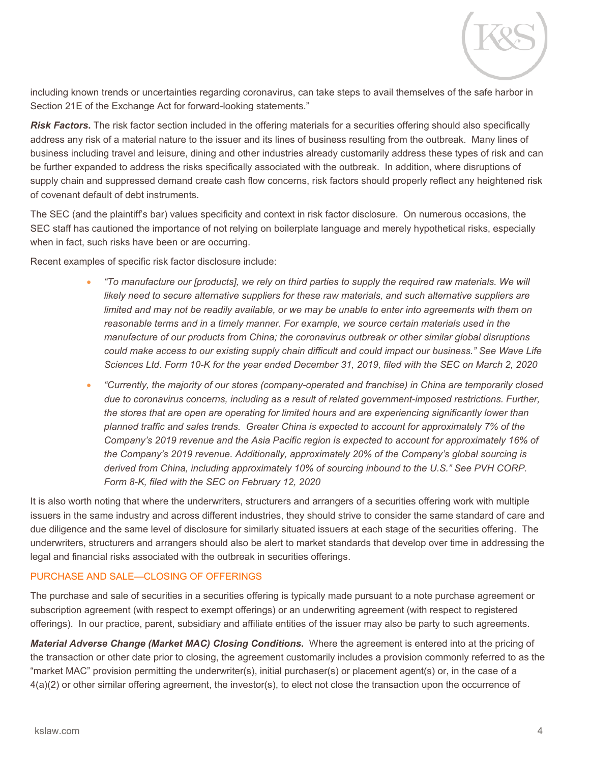including known trends or uncertainties regarding coronavirus, can take steps to avail themselves of the safe harbor in Section 21E of the Exchange Act for forward-looking statements."

*Risk Factors***.** The risk factor section included in the offering materials for a securities offering should also specifically address any risk of a material nature to the issuer and its lines of business resulting from the outbreak. Many lines of business including travel and leisure, dining and other industries already customarily address these types of risk and can be further expanded to address the risks specifically associated with the outbreak. In addition, where disruptions of supply chain and suppressed demand create cash flow concerns, risk factors should properly reflect any heightened risk of covenant default of debt instruments.

The SEC (and the plaintiff's bar) values specificity and context in risk factor disclosure. On numerous occasions, the SEC staff has cautioned the importance of not relying on boilerplate language and merely hypothetical risks, especially when in fact, such risks have been or are occurring.

Recent examples of specific risk factor disclosure include:

- *"To manufacture our [products], we rely on third parties to supply the required raw materials. We will likely need to secure alternative suppliers for these raw materials, and such alternative suppliers are*  limited and may not be readily available, or we may be unable to enter into agreements with them on *reasonable terms and in a timely manner. For example, we source certain materials used in the manufacture of our products from China; the coronavirus outbreak or other similar global disruptions could make access to our existing supply chain difficult and could impact our business." See Wave Life Sciences Ltd. Form 10-K for the year ended December 31, 2019, filed with the SEC on March 2, 2020*
- *"Currently, the majority of our stores (company-operated and franchise) in China are temporarily closed due to coronavirus concerns, including as a result of related government-imposed restrictions. Further, the stores that are open are operating for limited hours and are experiencing significantly lower than planned traffic and sales trends. Greater China is expected to account for approximately 7% of the Company's 2019 revenue and the Asia Pacific region is expected to account for approximately 16% of the Company's 2019 revenue. Additionally, approximately 20% of the Company's global sourcing is derived from China, including approximately 10% of sourcing inbound to the U.S." See PVH CORP. Form 8-K, filed with the SEC on February 12, 2020*

It is also worth noting that where the underwriters, structurers and arrangers of a securities offering work with multiple issuers in the same industry and across different industries, they should strive to consider the same standard of care and due diligence and the same level of disclosure for similarly situated issuers at each stage of the securities offering. The underwriters, structurers and arrangers should also be alert to market standards that develop over time in addressing the legal and financial risks associated with the outbreak in securities offerings.

#### PURCHASE AND SALE—CLOSING OF OFFERINGS

The purchase and sale of securities in a securities offering is typically made pursuant to a note purchase agreement or subscription agreement (with respect to exempt offerings) or an underwriting agreement (with respect to registered offerings). In our practice, parent, subsidiary and affiliate entities of the issuer may also be party to such agreements.

*Material Adverse Change (Market MAC) Closing Conditions***.** Where the agreement is entered into at the pricing of the transaction or other date prior to closing, the agreement customarily includes a provision commonly referred to as the "market MAC" provision permitting the underwriter(s), initial purchaser(s) or placement agent(s) or, in the case of a 4(a)(2) or other similar offering agreement, the investor(s), to elect not close the transaction upon the occurrence of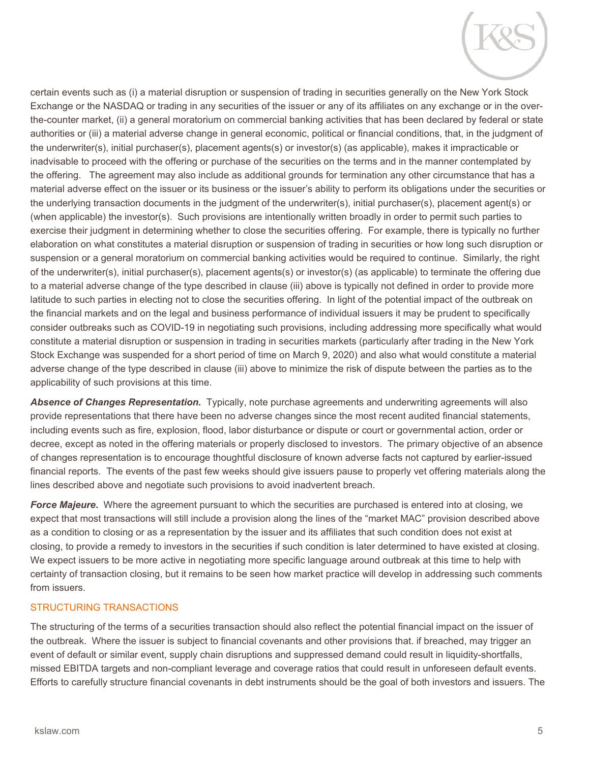certain events such as (i) a material disruption or suspension of trading in securities generally on the New York Stock Exchange or the NASDAQ or trading in any securities of the issuer or any of its affiliates on any exchange or in the overthe-counter market, (ii) a general moratorium on commercial banking activities that has been declared by federal or state authorities or (iii) a material adverse change in general economic, political or financial conditions, that, in the judgment of the underwriter(s), initial purchaser(s), placement agents(s) or investor(s) (as applicable), makes it impracticable or inadvisable to proceed with the offering or purchase of the securities on the terms and in the manner contemplated by the offering. The agreement may also include as additional grounds for termination any other circumstance that has a material adverse effect on the issuer or its business or the issuer's ability to perform its obligations under the securities or the underlying transaction documents in the judgment of the underwriter(s), initial purchaser(s), placement agent(s) or (when applicable) the investor(s). Such provisions are intentionally written broadly in order to permit such parties to exercise their judgment in determining whether to close the securities offering. For example, there is typically no further elaboration on what constitutes a material disruption or suspension of trading in securities or how long such disruption or suspension or a general moratorium on commercial banking activities would be required to continue. Similarly, the right of the underwriter(s), initial purchaser(s), placement agents(s) or investor(s) (as applicable) to terminate the offering due to a material adverse change of the type described in clause (iii) above is typically not defined in order to provide more latitude to such parties in electing not to close the securities offering. In light of the potential impact of the outbreak on the financial markets and on the legal and business performance of individual issuers it may be prudent to specifically consider outbreaks such as COVID-19 in negotiating such provisions, including addressing more specifically what would constitute a material disruption or suspension in trading in securities markets (particularly after trading in the New York Stock Exchange was suspended for a short period of time on March 9, 2020) and also what would constitute a material adverse change of the type described in clause (iii) above to minimize the risk of dispute between the parties as to the applicability of such provisions at this time.

*Absence of Changes Representation.* Typically, note purchase agreements and underwriting agreements will also provide representations that there have been no adverse changes since the most recent audited financial statements, including events such as fire, explosion, flood, labor disturbance or dispute or court or governmental action, order or decree, except as noted in the offering materials or properly disclosed to investors. The primary objective of an absence of changes representation is to encourage thoughtful disclosure of known adverse facts not captured by earlier-issued financial reports. The events of the past few weeks should give issuers pause to properly vet offering materials along the lines described above and negotiate such provisions to avoid inadvertent breach.

*Force Majeure***.** Where the agreement pursuant to which the securities are purchased is entered into at closing, we expect that most transactions will still include a provision along the lines of the "market MAC" provision described above as a condition to closing or as a representation by the issuer and its affiliates that such condition does not exist at closing, to provide a remedy to investors in the securities if such condition is later determined to have existed at closing. We expect issuers to be more active in negotiating more specific language around outbreak at this time to help with certainty of transaction closing, but it remains to be seen how market practice will develop in addressing such comments from issuers.

#### STRUCTURING TRANSACTIONS

The structuring of the terms of a securities transaction should also reflect the potential financial impact on the issuer of the outbreak. Where the issuer is subject to financial covenants and other provisions that. if breached, may trigger an event of default or similar event, supply chain disruptions and suppressed demand could result in liquidity-shortfalls, missed EBITDA targets and non-compliant leverage and coverage ratios that could result in unforeseen default events. Efforts to carefully structure financial covenants in debt instruments should be the goal of both investors and issuers. The